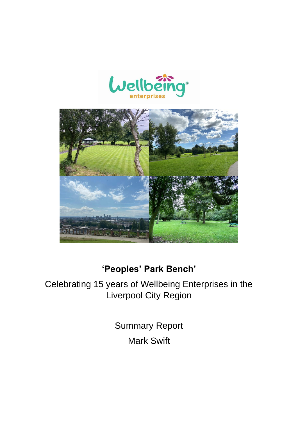



# **'Peoples' Park Bench'**

Celebrating 15 years of Wellbeing Enterprises in the Liverpool City Region

> Summary Report Mark Swift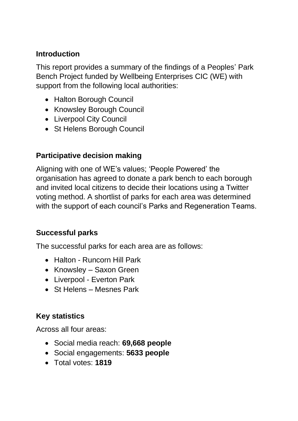## **Introduction**

This report provides a summary of the findings of a Peoples' Park Bench Project funded by Wellbeing Enterprises CIC (WE) with support from the following local authorities:

- Halton Borough Council
- Knowsley Borough Council
- Liverpool City Council
- St Helens Borough Council

# **Participative decision making**

Aligning with one of WE's values; 'People Powered' the organisation has agreed to donate a park bench to each borough and invited local citizens to decide their locations using a Twitter voting method. A shortlist of parks for each area was determined with the support of each council's Parks and Regeneration Teams.

# **Successful parks**

The successful parks for each area are as follows:

- Halton Runcorn Hill Park
- Knowsley Saxon Green
- Liverpool Everton Park
- St Helens Mesnes Park

# **Key statistics**

Across all four areas:

- Social media reach: **69,668 people**
- Social engagements: **5633 people**
- Total votes: **1819**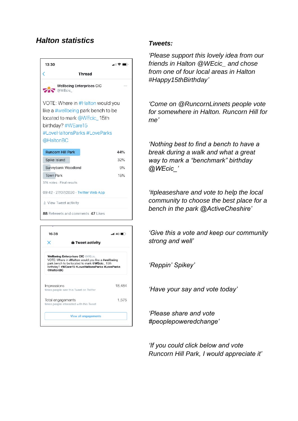### *Halton statistics Tweets:*



| 16:38                                                                                                                                                                                                          |                                        | 14G (  |  |
|----------------------------------------------------------------------------------------------------------------------------------------------------------------------------------------------------------------|----------------------------------------|--------|--|
| ×                                                                                                                                                                                                              | <b>û</b> Tweet activity                |        |  |
| <b>Wellbeing Enterprises CIC @WEcic_</b><br>VOTE: Where in #Halton would you like a #wellbeing<br>park bench to be located to mark @WEcic 15th<br>birthday? #WEare15 #LoveHaltonsParks #LoveParks<br>@HaltonBC |                                        |        |  |
| Impressions                                                                                                                                                                                                    | times people saw this Tweet on Twitter | 18.484 |  |
| Total engagements<br>times people interacted with this Tweet                                                                                                                                                   |                                        | 1.575  |  |
|                                                                                                                                                                                                                | <b>View all engagements</b>            |        |  |

*'Please support this lovely idea from our friends in Halton @WEcic\_ and chose from one of four local areas in Halton #Happy15thBirthday'*

*'Come on @RuncornLinnets people vote for somewhere in Halton. Runcorn Hill for me'*

*'Nothing best to find a bench to have a break during a walk and what a great way to mark a "benchmark" birthday @WEcic\_'*

*'#pleaseshare and vote to help the local community to choose the best place for a bench in the park @ActiveCheshire'*

*'Give this a vote and keep our community strong and well'*

*'Reppin' Spikey'*

*'Have your say and vote today'*

*'Please share and vote #peoplepoweredchange'*

*'If you could click below and vote Runcorn Hill Park, I would appreciate it'*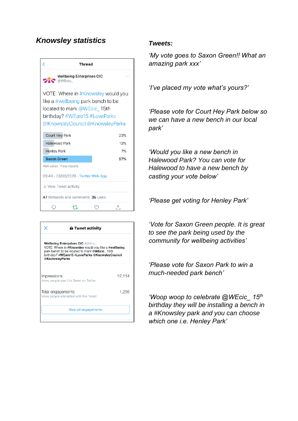### *Knowsley statistics Tweets:*



|                                                                                                                                                                                                                     | <b>û</b> Tweet activity                                      |        |  |
|---------------------------------------------------------------------------------------------------------------------------------------------------------------------------------------------------------------------|--------------------------------------------------------------|--------|--|
| <b>Wellbeing Enterprises CIC @WEcic</b><br>VOTE: Where in #Knowsley would you like a #wellbeing<br>park bench to be located to mark @WEcic_15th<br>birthday? #WEare15 #LoveParks @KnowsleyCouncil<br>@KnowsleyParks |                                                              |        |  |
| Impressions                                                                                                                                                                                                         | times people saw this Tweet on Twitter                       | 12,114 |  |
|                                                                                                                                                                                                                     | Total engagements<br>times people interacted with this Tweet | 1.256  |  |
|                                                                                                                                                                                                                     | <b>View all engagements</b>                                  |        |  |

*'My vote goes to Saxon Green!! What an amazing park xxx'*

*'I've placed my vote what's yours?'*

*'Please vote for Court Hey Park below so we can have a new bench in our local park'*

*'Would you like a new bench in Halewood Park? You can vote for Halewood to have a new bench by casting your vote below'*

*'Please get voting for Henley Park'*

*'Vote for Saxon Green people. It is great to see the park being used by the community for wellbeing activities'*

*'Please vote for Saxon Park to win a much-needed park bench'*

*'Woop woop to celebrate @WEcic\_ 15th birthday they will be installing a bench in a #Knowsley park and you can choose which one i.e. Henley Park'*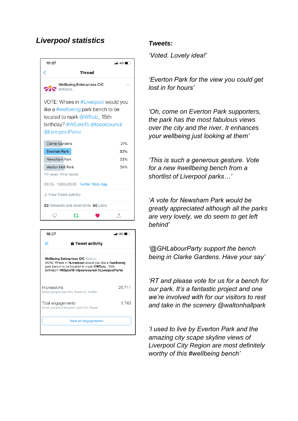# *Liverpool statistics Tweets:*





*'Voted. Lovely idea!'*

*'Everton Park for the view you could get lost in for hours'*

*'Oh, come on Everton Park supporters, the park has the most fabulous views over the city and the river. It enhances your wellbeing just looking at them'*

*'This is such a generous gesture. Vote for a new #wellbeing bench from a shortlist of Liverpool parks…'*

*'A vote for Newsham Park would be greatly appreciated although all the parks are very lovely, we do seem to get left behind'*

*'@GHLabourParty support the bench being in Clarke Gardens. Have your say'*

*'RT and please vote for us for a bench for our park. It's a fantastic project and one we're involved with for our visitors to rest and take in the scenery @waltonhallpark*

*'I used to live by Everton Park and the amazing city scape skyline views of Liverpool City Region are most definitely worthy of this #wellbeing bench'*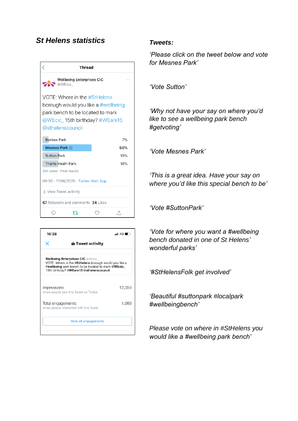### *St Helens statistics Tweets:*





*'Please click on the tweet below and vote for Mesnes Park'*

*'Vote Sutton'*

*'Why not have your say on where you'd like to see a wellbeing park bench #getvoting'*

*'Vote Mesnes Park'*

*'This is a great idea. Have your say on where you'd like this special bench to be'*

*'Vote #SuttonPark'*

*'Vote for where you want a #wellbeing bench donated in one of St Helens' wonderful parks'*

*'#StHelensFolk get involved'*

*'Beautiful #suttonpark #localpark #wellbeingbench'*

*Please vote on where in #StHelens you would like a #wellbeing park bench'*